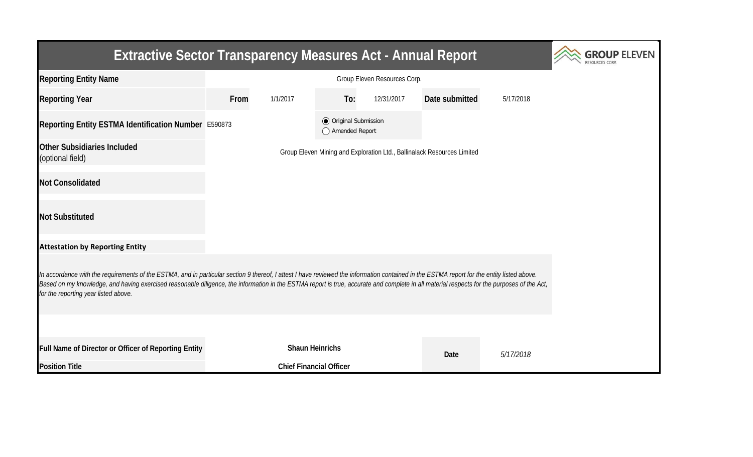| <b>Extractive Sector Transparency Measures Act - Annual Report</b>                                                                                                                                                                                                                                                                                                                                                               | <b>GROUP ELEVEN</b> |                                                                         |                                                  |            |                |           |  |  |  |  |
|----------------------------------------------------------------------------------------------------------------------------------------------------------------------------------------------------------------------------------------------------------------------------------------------------------------------------------------------------------------------------------------------------------------------------------|---------------------|-------------------------------------------------------------------------|--------------------------------------------------|------------|----------------|-----------|--|--|--|--|
| <b>Reporting Entity Name</b>                                                                                                                                                                                                                                                                                                                                                                                                     |                     |                                                                         |                                                  |            |                |           |  |  |  |  |
| <b>Reporting Year</b>                                                                                                                                                                                                                                                                                                                                                                                                            | From                | 1/1/2017                                                                | To:                                              | 12/31/2017 | Date submitted | 5/17/2018 |  |  |  |  |
| Reporting Entity ESTMA Identification Number E590873                                                                                                                                                                                                                                                                                                                                                                             |                     |                                                                         | <b>◎</b> Original Submission<br>◯ Amended Report |            |                |           |  |  |  |  |
| Other Subsidiaries Included<br>(optional field)                                                                                                                                                                                                                                                                                                                                                                                  |                     | Group Eleven Mining and Exploration Ltd., Ballinalack Resources Limited |                                                  |            |                |           |  |  |  |  |
| <b>Not Consolidated</b>                                                                                                                                                                                                                                                                                                                                                                                                          |                     |                                                                         |                                                  |            |                |           |  |  |  |  |
| <b>Not Substituted</b>                                                                                                                                                                                                                                                                                                                                                                                                           |                     |                                                                         |                                                  |            |                |           |  |  |  |  |
| <b>Attestation by Reporting Entity</b>                                                                                                                                                                                                                                                                                                                                                                                           |                     |                                                                         |                                                  |            |                |           |  |  |  |  |
| In accordance with the requirements of the ESTMA, and in particular section 9 thereof, I attest I have reviewed the information contained in the ESTMA report for the entity listed above.<br>Based on my knowledge, and having exercised reasonable diligence, the information in the ESTMA report is true, accurate and complete in all material respects for the purposes of the Act,<br>for the reporting year listed above. |                     |                                                                         |                                                  |            |                |           |  |  |  |  |
|                                                                                                                                                                                                                                                                                                                                                                                                                                  |                     |                                                                         |                                                  |            |                |           |  |  |  |  |
| Full Name of Director or Officer of Reporting Entity                                                                                                                                                                                                                                                                                                                                                                             |                     | <b>Shaun Heinrichs</b>                                                  |                                                  |            | Date           | 5/17/2018 |  |  |  |  |
| <b>Position Title</b>                                                                                                                                                                                                                                                                                                                                                                                                            |                     | <b>Chief Financial Officer</b>                                          |                                                  |            |                |           |  |  |  |  |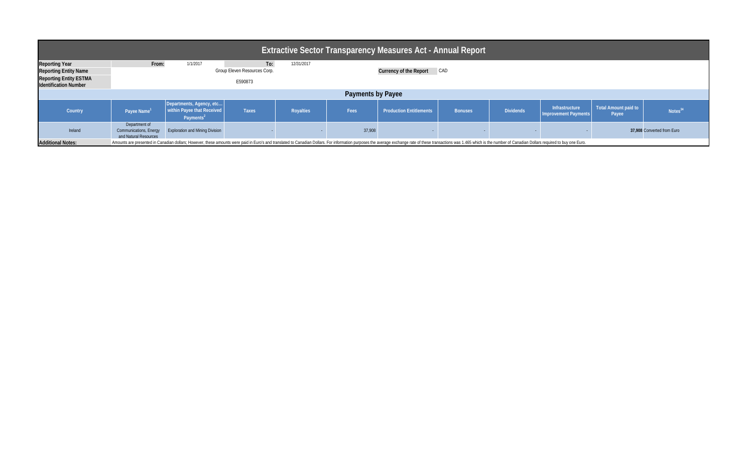| Extractive Sector Transparency Measures Act - Annual Report   |                                                                                                                                                                                                                                |                                                                                 |              |                  |        |                                      |                |                  |                                        |                                      |                            |  |  |
|---------------------------------------------------------------|--------------------------------------------------------------------------------------------------------------------------------------------------------------------------------------------------------------------------------|---------------------------------------------------------------------------------|--------------|------------------|--------|--------------------------------------|----------------|------------------|----------------------------------------|--------------------------------------|----------------------------|--|--|
| <b>Reporting Year</b>                                         | From:                                                                                                                                                                                                                          | 1/1/2017                                                                        | To:          | 12/31/2017       |        |                                      |                |                  |                                        |                                      |                            |  |  |
| <b>Reporting Entity Name</b>                                  | Group Eleven Resources Corp.                                                                                                                                                                                                   |                                                                                 |              |                  |        | <b>Currency of the Report</b><br>CAD |                |                  |                                        |                                      |                            |  |  |
| <b>Reporting Entity ESTMA</b><br><b>Identification Number</b> | E590873                                                                                                                                                                                                                        |                                                                                 |              |                  |        |                                      |                |                  |                                        |                                      |                            |  |  |
| <b>Payments by Payee</b>                                      |                                                                                                                                                                                                                                |                                                                                 |              |                  |        |                                      |                |                  |                                        |                                      |                            |  |  |
| Country                                                       | Payee Name                                                                                                                                                                                                                     | Departments, Agency, etc<br>within Payee that Received<br>Payments <sup>2</sup> | <b>Taxes</b> | <b>Royalties</b> | Fees   | <b>Production Entitlements</b>       | <b>Bonuses</b> | <b>Dividends</b> | Infrastructure<br>Improvement Payments | <b>Total Amount paid to</b><br>Payee | Notes <sup>34</sup>        |  |  |
| Ireland                                                       | Department of<br><b>Communications, Energy</b><br>and Natural Resources                                                                                                                                                        | <b>Exploration and Mining Division</b>                                          |              |                  | 37,908 |                                      |                |                  |                                        |                                      | 37,908 Converted from Euro |  |  |
| <b>Additional Notes:</b>                                      | Amounts are presented in Canadian dollars; However, these amounts were paid in Euro's and translated to Canadian Dollars. For information purposes the average exchange rate of these transactions was 1.465 which is the numb |                                                                                 |              |                  |        |                                      |                |                  |                                        |                                      |                            |  |  |